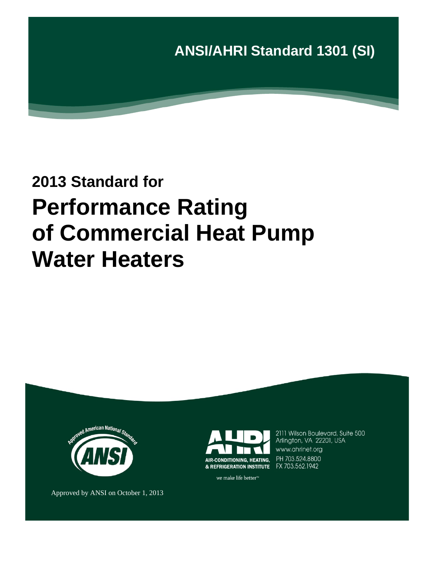

# **2013 Standard for Performance Rating of Commercial Heat Pump Water Heaters**





2111 Wilson Boulevard, Suite 500 Arlington, VA 22201, USA www.ahrinet.org PH 703.524.8800

Approved by ANSI on October 1, 2013

we make life better<sup>™</sup>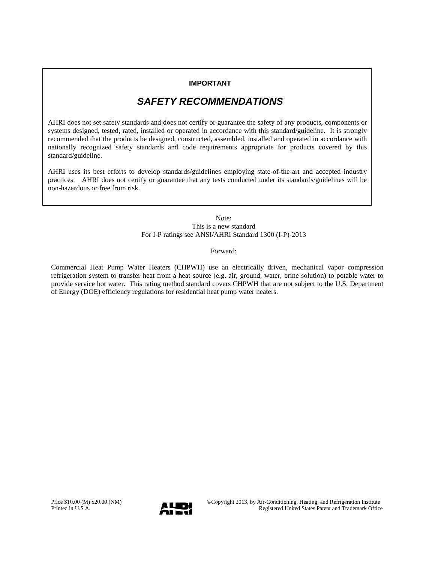#### **IMPORTANT**

## *SAFETY RECOMMENDATIONS*

AHRI does not set safety standards and does not certify or guarantee the safety of any products, components or systems designed, tested, rated, installed or operated in accordance with this standard/guideline. It is strongly recommended that the products be designed, constructed, assembled, installed and operated in accordance with nationally recognized safety standards and code requirements appropriate for products covered by this standard/guideline.

AHRI uses its best efforts to develop standards/guidelines employing state-of-the-art and accepted industry practices. AHRI does not certify or guarantee that any tests conducted under its standards/guidelines will be non-hazardous or free from risk.

> Note: This is a new standard For I-P ratings see ANSI/AHRI Standard 1300 (I-P)-2013

> > Forward:

Commercial Heat Pump Water Heaters (CHPWH) use an electrically driven, mechanical vapor compression refrigeration system to transfer heat from a heat source (e.g. air, ground, water, brine solution) to potable water to provide service hot water. This rating method standard covers CHPWH that are not subject to the U.S. Department of Energy (DOE) efficiency regulations for residential heat pump water heaters.

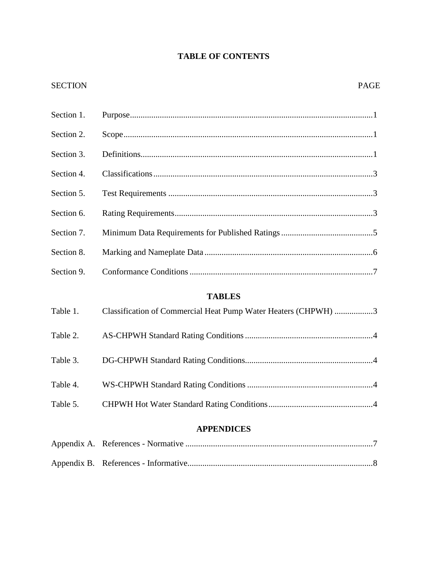# **TABLE OF CONTENTS**

### SECTION PAGE

| Section 1. |                                                                |
|------------|----------------------------------------------------------------|
| Section 2. |                                                                |
| Section 3. |                                                                |
| Section 4. |                                                                |
| Section 5. |                                                                |
| Section 6. |                                                                |
| Section 7. |                                                                |
| Section 8. |                                                                |
| Section 9. |                                                                |
|            | <b>TABLES</b>                                                  |
| Table 1.   | Classification of Commercial Heat Pump Water Heaters (CHPWH) 3 |
| Table 2.   |                                                                |
| Table 3.   |                                                                |
| Table 4.   |                                                                |
| Table 5.   |                                                                |
|            | <b>APPENDICES</b>                                              |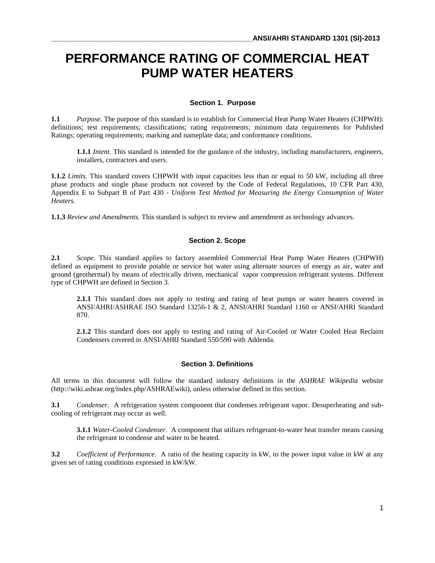# **PERFORMANCE RATING OF COMMERCIAL HEAT PUMP WATER HEATERS**

#### **Section 1. Purpose**

**1.1** *Purpose*. The purpose of this standard is to establish for Commercial Heat Pump Water Heaters (CHPWH): definitions; test requirements; classifications; rating requirements; minimum data requirements for Published Ratings; operating requirements; marking and nameplate data; and conformance conditions.

**1.1.1** *Intent*. This standard is intended for the guidance of the industry, including manufacturers, engineers, installers, contractors and users.

**1.1.2** *Limits*. This standard covers CHPWH with input capacities less than or equal to 50 kW, including all three phase products and single phase products not covered by the Code of Federal Regulations, 10 CFR Part 430, Appendix E to Subpart B of Part 430 - *Uniform Test Method for Measuring the Energy Consumption of Water Heaters*.

**1.1.3** *Review and Amendments*. This standard is subject to review and amendment as technology advances.

#### **Section 2. Scope**

**2.1** *Scope*. This standard applies to factory assembled Commercial Heat Pump Water Heaters (CHPWH) defined as equipment to provide potable or service hot water using alternate sources of energy as air, water and ground (geothermal) by means of electrically driven, mechanical vapor compression refrigerant systems. Different type of CHPWH are defined in Section 3.

**2.1.1** This standard does not apply to testing and rating of heat pumps or water heaters covered in ANSI/AHRI/ASHRAE ISO Standard 13256-1 & 2, ANSI/AHRI Standard 1160 or ANSI/AHRI Standard 870.

2.1.2 This standard does not apply to testing and rating of Air-Cooled or Water Cooled Heat Reclaim Condensers covered in ANSI/AHRI Standard 550/590 with Addenda.

#### **Section 3. Definitions**

All terms in this document will follow the standard industry definitions in the *ASHRAE Wikipedia* website (http://wiki.ashrae.org/index.php/ASHRAEwiki), unless otherwise defined in this section.

**3.1** *Condenser.* A refrigeration system component that condenses refrigerant vapor. Desuperheating and subcooling of refrigerant may occur as well.

**3.1.1** *Water-Cooled Condenser*. A component that utilizes refrigerant-to-water heat transfer means causing the refrigerant to condense and water to be heated.

**3.2** *Coefficient of Performance*. A ratio of the heating capacity in kW, to the power input value in kW at any given set of rating conditions expressed in kW/kW.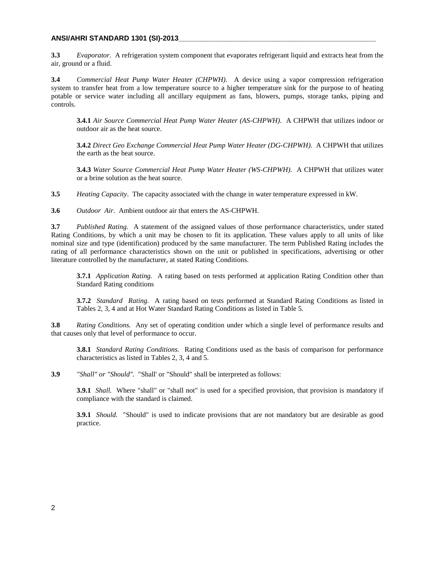#### **ANSI/AHRI STANDARD 1301 (SI)-2013\_\_\_\_\_\_\_\_\_\_\_\_\_\_\_\_\_\_\_\_\_\_\_\_\_\_\_\_\_\_\_\_\_\_\_\_\_\_\_\_\_\_\_\_\_\_\_\_\_\_**

**3.3** *Evaporator*. A refrigeration system component that evaporates refrigerant liquid and extracts heat from the air, ground or a fluid.

**3.4** *Commercial Heat Pump Water Heater (CHPWH)*. A device using a vapor compression refrigeration system to transfer heat from a low temperature source to a higher temperature sink for the purpose to of heating potable or service water including all ancillary equipment as fans, blowers, pumps, storage tanks, piping and controls.

**3.4.1** *Air Source Commercial Heat Pump Water Heater (AS-CHPWH)*. A CHPWH that utilizes indoor or outdoor air as the heat source.

**3.4.2** *Direct Geo Exchange Commercial Heat Pump Water Heater (DG-CHPWH)*. A CHPWH that utilizes the earth as the heat source.

**3.4.3** *Water Source Commercial Heat Pump Water Heater (WS-CHPWH)*. A CHPWH that utilizes water or a brine solution as the heat source.

**3.5** *Heating Capacity*. The capacity associated with the change in water temperature expressed in kW.

**3.6** *Outdoor Air*. Ambient outdoor air that enters the AS-CHPWH.

**3.7** *Published Rating.* A statement of the assigned values of those performance characteristics, under stated Rating Conditions, by which a unit may be chosen to fit its application. These values apply to all units of like nominal size and type (identification) produced by the same manufacturer. The term Published Rating includes the rating of all performance characteristics shown on the unit or published in specifications, advertising or other literature controlled by the manufacturer, at stated Rating Conditions.

**3.7.1** *Application Rating.* A rating based on tests performed at application Rating Condition other than Standard Rating conditions

**3.7.2** *Standard Rating.* A rating based on tests performed at Standard Rating Conditions as listed in Tables 2, 3, 4 and at Hot Water Standard Rating Conditions as listed in Table 5.

**3.8** *Rating Conditions.* Any set of operating condition under which a single level of performance results and that causes only that level of performance to occur.

**3.8.1** *Standard Rating Conditions.* Rating Conditions used as the basis of comparison for performance characteristics as listed in Tables 2, 3, 4 and 5.

**3.9** *"Shall" or "Should".* "Shall' or "Should" shall be interpreted as follows:

**3.9.1** *Shall.* Where "shall" or "shall not" is used for a specified provision, that provision is mandatory if compliance with the standard is claimed.

**3.9.1** *Should.* "Should" is used to indicate provisions that are not mandatory but are desirable as good practice.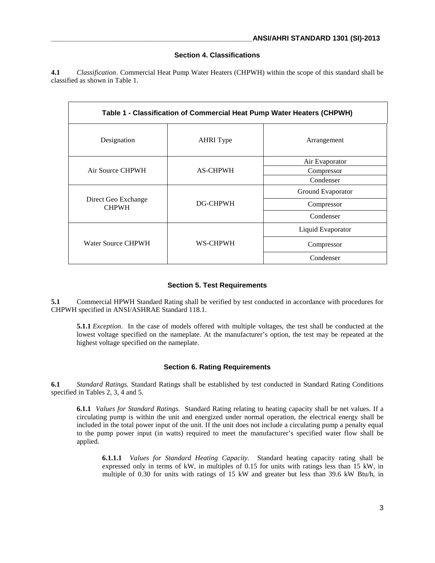#### **Section 4. Classifications**

**4.1** *Classification*. Commercial Heat Pump Water Heaters (CHPWH) within the scope of this standard shall be classified as shown in Table 1.

| Table 1 - Classification of Commercial Heat Pump Water Heaters (CHPWH) |                  |                   |  |  |  |
|------------------------------------------------------------------------|------------------|-------------------|--|--|--|
| Designation                                                            | <b>AHRI</b> Type | Arrangement       |  |  |  |
|                                                                        | <b>AS-CHPWH</b>  | Air Evaporator    |  |  |  |
| Air Source CHPWH                                                       |                  | Compressor        |  |  |  |
|                                                                        |                  | Condenser         |  |  |  |
|                                                                        | DG-CHPWH         | Ground Evaporator |  |  |  |
| Direct Geo Exchange<br><b>CHPWH</b>                                    |                  | Compressor        |  |  |  |
|                                                                        |                  | Condenser         |  |  |  |
|                                                                        | WS-CHPWH         | Liquid Evaporator |  |  |  |
| Water Source CHPWH                                                     |                  | Compressor        |  |  |  |
|                                                                        |                  | Condenser         |  |  |  |

#### **Section 5. Test Requirements**

**5.1** Commercial HPWH Standard Rating shall be verified by test conducted in accordance with procedures for CHPWH specified in ANSI/ASHRAE Standard 118.1.

**5.1.1** *Exception*. In the case of models offered with multiple voltages, the test shall be conducted at the lowest voltage specified on the nameplate. At the manufacturer's option, the test may be repeated at the highest voltage specified on the nameplate.

#### **Section 6. Rating Requirements**

**6.1** *Standard Ratings.* Standard Ratings shall be established by test conducted in Standard Rating Conditions specified in Tables 2, 3, 4 and 5.

**6.1.1** *Values for Standard Ratings.* Standard Rating relating to heating capacity shall be net values. If a circulating pump is within the unit and energized under normal operation, the electrical energy shall be included in the total power input of the unit. If the unit does not include a circulating pump a penalty equal to the pump power input (in watts) required to meet the manufacturer's specified water flow shall be applied.

**6.1.1.1** *Values for Standard Heating Capacity.* Standard heating capacity rating shall be expressed only in terms of kW, in multiples of 0.15 for units with ratings less than 15 kW, in multiple of 0.30 for units with ratings of 15 kW and greater but less than 39.6 kW Btu/h, in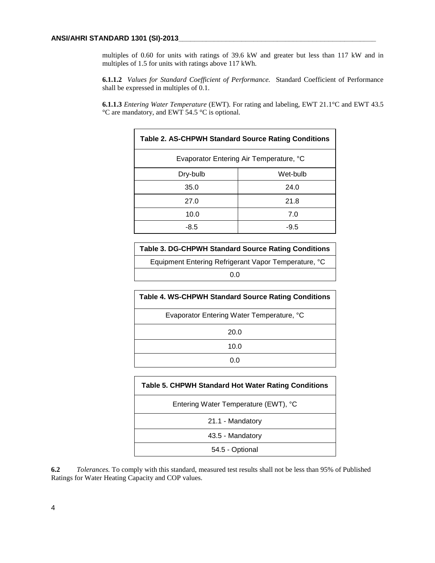multiples of 0.60 for units with ratings of 39.6 kW and greater but less than 117 kW and in multiples of 1.5 for units with ratings above 117 kWh.

**6.1.1.2** *Values for Standard Coefficient of Performance.* Standard Coefficient of Performance shall be expressed in multiples of 0.1.

**6.1.1.3** *Entering Water Temperature* (EWT)*.* For rating and labeling, EWT 21.1°C and EWT 43.5 °C are mandatory, and EWT 54.5 °C is optional.

| <b>Table 2. AS-CHPWH Standard Source Rating Conditions</b> |          |  |
|------------------------------------------------------------|----------|--|
| Evaporator Entering Air Temperature, °C                    |          |  |
| Dry-bulb                                                   | Wet-bulb |  |
| 35.0                                                       | 24.0     |  |
| 27.0                                                       | 21.8     |  |
| 10.0                                                       | 7.0      |  |
| $-8.5$                                                     | $-9.5$   |  |

| <b>Table 3. DG-CHPWH Standard Source Rating Conditions</b> |  |  |
|------------------------------------------------------------|--|--|
| Equipment Entering Refrigerant Vapor Temperature, °C       |  |  |
| ი ი                                                        |  |  |
|                                                            |  |  |

| <b>Table 4. WS-CHPWH Standard Source Rating Conditions</b> |
|------------------------------------------------------------|
| Evaporator Entering Water Temperature, °C                  |
| 20.0                                                       |
| 10.0                                                       |
|                                                            |

| <b>Table 5. CHPWH Standard Hot Water Rating Conditions</b> |  |  |
|------------------------------------------------------------|--|--|
| Entering Water Temperature (EWT), °C                       |  |  |
| 21.1 - Mandatory                                           |  |  |
| 43.5 - Mandatory                                           |  |  |
| 54.5 - Optional                                            |  |  |

**6.2** *Tolerances.* To comply with this standard, measured test results shall not be less than 95% of Published Ratings for Water Heating Capacity and COP values.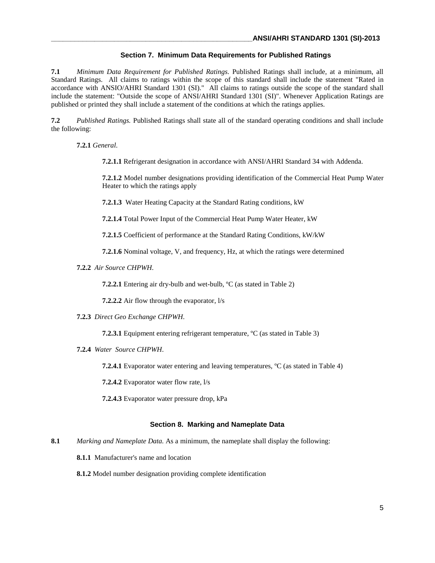#### **Section 7. Minimum Data Requirements for Published Ratings**

**7.1** *Minimum Data Requirement for Published Ratings.* Published Ratings shall include, at a minimum, all Standard Ratings. All claims to ratings within the scope of this standard shall include the statement "Rated in accordance with ANSIO/AHRI Standard 1301 (SI)." All claims to ratings outside the scope of the standard shall include the statement: "Outside the scope of ANSI/AHRI Standard 1301 (SI)". Whenever Application Ratings are published or printed they shall include a statement of the conditions at which the ratings applies.

**7.2** *Published Ratings.* Published Ratings shall state all of the standard operating conditions and shall include the following:

**7.2.1** *General*.

**7.2.1.1** Refrigerant designation in accordance with ANSI/AHRI Standard 34 with Addenda.

**7.2.1.2** Model number designations providing identification of the Commercial Heat Pump Water Heater to which the ratings apply

**7.2.1.3** Water Heating Capacity at the Standard Rating conditions, kW

**7.2.1.4** Total Power Input of the Commercial Heat Pump Water Heater, kW

**7.2.1.5** Coefficient of performance at the Standard Rating Conditions, kW/kW

**7.2.1.6** Nominal voltage, V, and frequency, Hz, at which the ratings were determined

**7.2.2** *Air Source CHPWH*.

**7.2.2.1** Entering air dry-bulb and wet-bulb, <sup>o</sup>C (as stated in Table 2)

**7.2.2.2** Air flow through the evaporator, l/s

**7.2.3** *Direct Geo Exchange CHPWH*.

**7.2.3.1** Equipment entering refrigerant temperature, ºC (as stated in Table 3)

**7.2.4** *Water Source CHPWH*.

**7.2.4.1** Evaporator water entering and leaving temperatures, <sup>o</sup>C (as stated in Table 4)

**7.2.4.2** Evaporator water flow rate, l/s

**7.2.4.3** Evaporator water pressure drop, kPa

#### **Section 8. Marking and Nameplate Data**

- **8.1** *Marking and Nameplate Data.* As a minimum, the nameplate shall display the following:
	- **8.1.1** Manufacturer's name and location
	- **8.1.2** Model number designation providing complete identification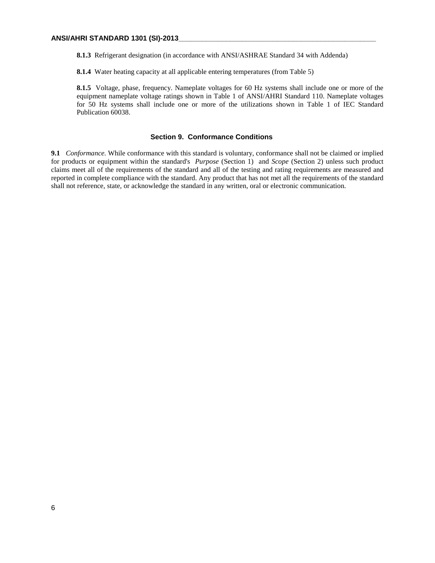**8.1.3** Refrigerant designation (in accordance with ANSI/ASHRAE Standard 34 with Addenda)

**8.1.4** Water heating capacity at all applicable entering temperatures (from Table 5)

**8.1.5** Voltage, phase, frequency. Nameplate voltages for 60 Hz systems shall include one or more of the equipment nameplate voltage ratings shown in Table 1 of ANSI/AHRI Standard 110. Nameplate voltages for 50 Hz systems shall include one or more of the utilizations shown in Table 1 of IEC Standard Publication 60038.

#### **Section 9. Conformance Conditions**

**9.1** *Conformance.* While conformance with this standard is voluntary, conformance shall not be claimed or implied for products or equipment within the standard's *Purpose* (Section 1) and *Scope* (Section 2) unless such product claims meet all of the requirements of the standard and all of the testing and rating requirements are measured and reported in complete compliance with the standard. Any product that has not met all the requirements of the standard shall not reference, state, or acknowledge the standard in any written, oral or electronic communication.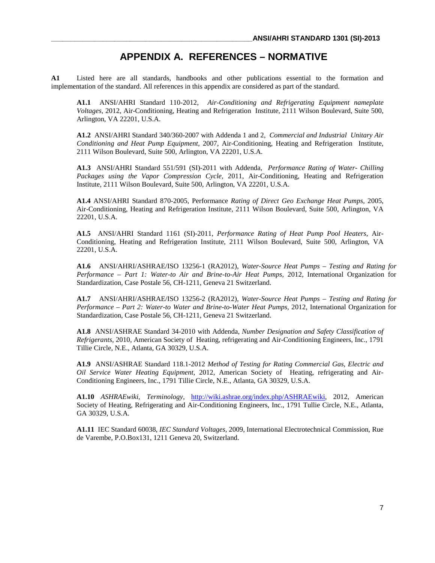# **APPENDIX A. REFERENCES – NORMATIVE**

**A1** Listed here are all standards, handbooks and other publications essential to the formation and implementation of the standard. All references in this appendix are considered as part of the standard.

**A1.1** ANSI/AHRI Standard 110-2012, *Air-Conditioning and Refrigerating Equipment nameplate Voltages,* 2012, Air-Conditioning, Heating and Refrigeration Institute, 2111 Wilson Boulevard, Suite 500, Arlington, VA 22201, U.S.A.

**A1.2** ANSI/AHRI Standard 340/360-2007 with Addenda 1 and 2, *Commercial and Industrial Unitary Air Conditioning and Heat Pump Equipment,* 2007, Air-Conditioning, Heating and Refrigeration Institute, 2111 Wilson Boulevard, Suite 500, Arlington, VA 22201, U.S.A.

**A1.3** ANSI/AHRI Standard 551/591 (SI)-2011 with Addenda, *Performance Rating of Water- Chilling Packages using the Vapor Compression Cycle,* 2011, Air-Conditioning, Heating and Refrigeration Institute, 2111 Wilson Boulevard, Suite 500, Arlington, VA 22201, U.S.A.

**A1.4** ANSI/AHRI Standard 870-2005, Performance *Rating of Direct Geo Exchange Heat Pumps,* 2005, Air-Conditioning, Heating and Refrigeration Institute, 2111 Wilson Boulevard, Suite 500, Arlington, VA 22201, U.S.A.

**A1.5** ANSI/AHRI Standard 1161 (SI)-2011, *Performance Rating of Heat Pump Pool Heaters,* Air-Conditioning, Heating and Refrigeration Institute, 2111 Wilson Boulevard, Suite 500, Arlington, VA 22201, U.S.A.

**A1.6** ANSI/AHRI/ASHRAE/ISO 13256-1 (RA2012), *Water-Source Heat Pumps – Testing and Rating for Performance – Part 1: Water-to Air and Brine-to-Air Heat Pumps,* 2012, International Organization for Standardization, Case Postale 56, CH-1211, Geneva 21 Switzerland.

**A1.7** ANSI/AHRI/ASHRAE/ISO 13256-2 (RA2012), *Water-Source Heat Pumps – Testing and Rating for Performance – Part 2: Water-to Water and Brine-to-Water Heat Pumps,* 2012, International Organization for Standardization, Case Postale 56, CH-1211, Geneva 21 Switzerland.

**A1.8** ANSI/ASHRAE Standard 34-2010 with Addenda, *Number Designation and Safety Classification of Refrigerants,* 2010, American Society of Heating, refrigerating and Air-Conditioning Engineers, Inc., 1791 Tillie Circle, N.E., Atlanta, GA 30329, U.S.A.

**A1.9** ANSI/ASHRAE Standard 118.1-2012 *Method of Testing for Rating Commercial Gas, Electric and Oil Service Water Heating Equipment,* 2012, American Society of Heating, refrigerating and Air-Conditioning Engineers, Inc., 1791 Tillie Circle, N.E., Atlanta, GA 30329, U.S.A.

**A1.10** *ASHRAEwiki, Terminology,* [http://wiki.ashrae.org/index.php/ASHRAEwiki,](http://wiki.ashrae.org/index.php/ASHRAEwiki) 2012, American Society of Heating, Refrigerating and Air-Conditioning Engineers, Inc., 1791 Tullie Circle, N.E., Atlanta, GA 30329, U.S.A.

**A1.11** IEC Standard 60038, *IEC Standard Voltages,* 2009, International Electrotechnical Commission, Rue de Varembe, P.O.Box131, 1211 Geneva 20, Switzerland.